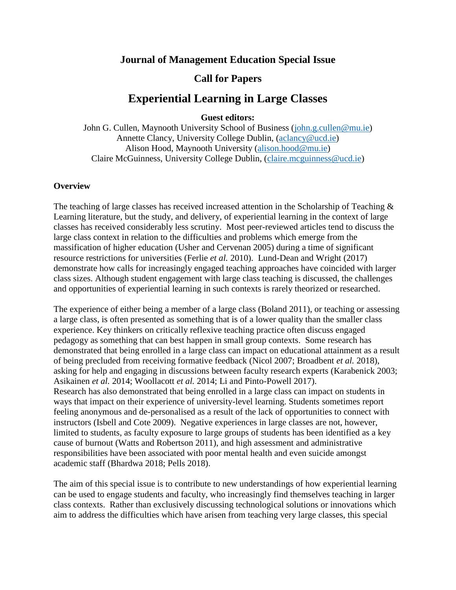## **Journal of Management Education Special Issue**

## **Call for Papers**

# **Experiential Learning in Large Classes**

**Guest editors:**

John G. Cullen, Maynooth University School of Business [\(john.g.cullen@mu.ie\)](mailto:john.g.cullen@mu.ie) Annette Clancy, University College Dublin, [\(aclancy@ucd.ie\)](mailto:aclancy@ucd.ie) Alison Hood, Maynooth University [\(alison.hood@mu.ie\)](mailto:alison.hood@mu.ie) Claire McGuinness, University College Dublin, [\(claire.mcguinness@ucd.ie\)](mailto:claire.mcguinness@ucd.ie)

#### **Overview**

The teaching of large classes has received increased attention in the Scholarship of Teaching & Learning literature, but the study, and delivery, of experiential learning in the context of large classes has received considerably less scrutiny. Most peer-reviewed articles tend to discuss the large class context in relation to the difficulties and problems which emerge from the massification of higher education (Usher and Cervenan 2005) during a time of significant resource restrictions for universities (Ferlie *et al.* 2010). Lund-Dean and Wright (2017) demonstrate how calls for increasingly engaged teaching approaches have coincided with larger class sizes. Although student engagement with large class teaching is discussed, the challenges and opportunities of experiential learning in such contexts is rarely theorized or researched.

The experience of either being a member of a large class (Boland 2011), or teaching or assessing a large class, is often presented as something that is of a lower quality than the smaller class experience. Key thinkers on critically reflexive teaching practice often discuss engaged pedagogy as something that can best happen in small group contexts. Some research has demonstrated that being enrolled in a large class can impact on educational attainment as a result of being precluded from receiving formative feedback (Nicol 2007; Broadbent *et al.* 2018), asking for help and engaging in discussions between faculty research experts (Karabenick 2003; Asikainen *et al.* 2014; Woollacott *et al.* 2014; Li and Pinto-Powell 2017). Research has also demonstrated that being enrolled in a large class can impact on students in ways that impact on their experience of university-level learning. Students sometimes report feeling anonymous and de-personalised as a result of the lack of opportunities to connect with instructors (Isbell and Cote 2009). Negative experiences in large classes are not, however, limited to students, as faculty exposure to large groups of students has been identified as a key cause of burnout (Watts and Robertson 2011), and high assessment and administrative responsibilities have been associated with poor mental health and even suicide amongst academic staff (Bhardwa 2018; Pells 2018).

The aim of this special issue is to contribute to new understandings of how experiential learning can be used to engage students and faculty, who increasingly find themselves teaching in larger class contexts. Rather than exclusively discussing technological solutions or innovations which aim to address the difficulties which have arisen from teaching very large classes, this special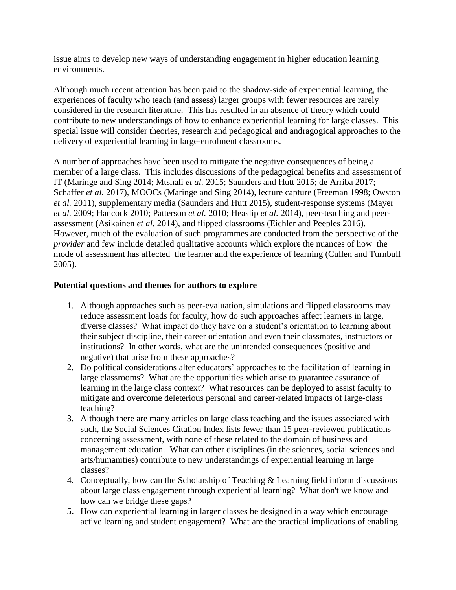issue aims to develop new ways of understanding engagement in higher education learning environments.

Although much recent attention has been paid to the shadow-side of experiential learning, the experiences of faculty who teach (and assess) larger groups with fewer resources are rarely considered in the research literature. This has resulted in an absence of theory which could contribute to new understandings of how to enhance experiential learning for large classes. This special issue will consider theories, research and pedagogical and andragogical approaches to the delivery of experiential learning in large-enrolment classrooms.

A number of approaches have been used to mitigate the negative consequences of being a member of a large class. This includes discussions of the pedagogical benefits and assessment of IT (Maringe and Sing 2014; Mtshali *et al.* 2015; Saunders and Hutt 2015; de Arriba 2017; Schaffer *et al.* 2017), MOOCs (Maringe and Sing 2014), lecture capture (Freeman 1998; Owston *et al.* 2011), supplementary media (Saunders and Hutt 2015), student-response systems (Mayer *et al.* 2009; Hancock 2010; Patterson *et al.* 2010; Heaslip *et al.* 2014), peer-teaching and peerassessment (Asikainen *et al.* 2014), and flipped classrooms (Eichler and Peeples 2016). However, much of the evaluation of such programmes are conducted from the perspective of the *provider* and few include detailed qualitative accounts which explore the nuances of how the mode of assessment has affected the learner and the experience of learning (Cullen and Turnbull 2005).

#### **Potential questions and themes for authors to explore**

- 1. Although approaches such as peer-evaluation, simulations and flipped classrooms may reduce assessment loads for faculty, how do such approaches affect learners in large, diverse classes? What impact do they have on a student's orientation to learning about their subject discipline, their career orientation and even their classmates, instructors or institutions? In other words, what are the unintended consequences (positive and negative) that arise from these approaches?
- 2. Do political considerations alter educators' approaches to the facilitation of learning in large classrooms? What are the opportunities which arise to guarantee assurance of learning in the large class context? What resources can be deployed to assist faculty to mitigate and overcome deleterious personal and career-related impacts of large-class teaching?
- 3. Although there are many articles on large class teaching and the issues associated with such, the Social Sciences Citation Index lists fewer than 15 peer-reviewed publications concerning assessment, with none of these related to the domain of business and management education. What can other disciplines (in the sciences, social sciences and arts/humanities) contribute to new understandings of experiential learning in large classes?
- 4. Conceptually, how can the Scholarship of Teaching & Learning field inform discussions about large class engagement through experiential learning? What don't we know and how can we bridge these gaps?
- **5.** How can experiential learning in larger classes be designed in a way which encourage active learning and student engagement? What are the practical implications of enabling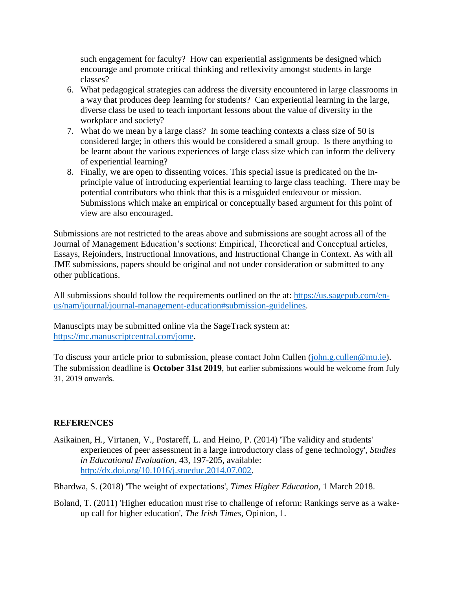such engagement for faculty? How can experiential assignments be designed which encourage and promote critical thinking and reflexivity amongst students in large classes?

- 6. What pedagogical strategies can address the diversity encountered in large classrooms in a way that produces deep learning for students? Can experiential learning in the large, diverse class be used to teach important lessons about the value of diversity in the workplace and society?
- 7. What do we mean by a large class? In some teaching contexts a class size of 50 is considered large; in others this would be considered a small group. Is there anything to be learnt about the various experiences of large class size which can inform the delivery of experiential learning?
- 8. Finally, we are open to dissenting voices. This special issue is predicated on the inprinciple value of introducing experiential learning to large class teaching. There may be potential contributors who think that this is a misguided endeavour or mission. Submissions which make an empirical or conceptually based argument for this point of view are also encouraged.

Submissions are not restricted to the areas above and submissions are sought across all of the Journal of Management Education's sections: Empirical, Theoretical and Conceptual articles, Essays, Rejoinders, Instructional Innovations, and Instructional Change in Context. As with all JME submissions, papers should be original and not under consideration or submitted to any other publications.

All submissions should follow the requirements outlined on the at: [https://us.sagepub.com/en](https://us.sagepub.com/en-us/nam/journal/journal-management-education#submission-guidelines)[us/nam/journal/journal-management-education#submission-guidelines.](https://us.sagepub.com/en-us/nam/journal/journal-management-education#submission-guidelines)

Manuscipts may be submitted online via the SageTrack system at: [https://mc.manuscriptcentral.com/jome.](https://mc.manuscriptcentral.com/jome)

To discuss your article prior to submission, please contact John Cullen [\(john.g.cullen@mu.ie\)](mailto:john.g.cullen@mu.ie). The submission deadline is **October 31st 2019**, but earlier submissions would be welcome from July 31, 2019 onwards.

### **REFERENCES**

Asikainen, H., Virtanen, V., Postareff, L. and Heino, P. (2014) 'The validity and students' experiences of peer assessment in a large introductory class of gene technology', *Studies in Educational Evaluation*, 43, 197-205, available: [http://dx.doi.org/10.1016/j.stueduc.2014.07.002.](http://dx.doi.org/10.1016/j.stueduc.2014.07.002)

Bhardwa, S. (2018) 'The weight of expectations', *Times Higher Education*, 1 March 2018.

Boland, T. (2011) 'Higher education must rise to challenge of reform: Rankings serve as a wakeup call for higher education', *The Irish Times*, Opinion, 1.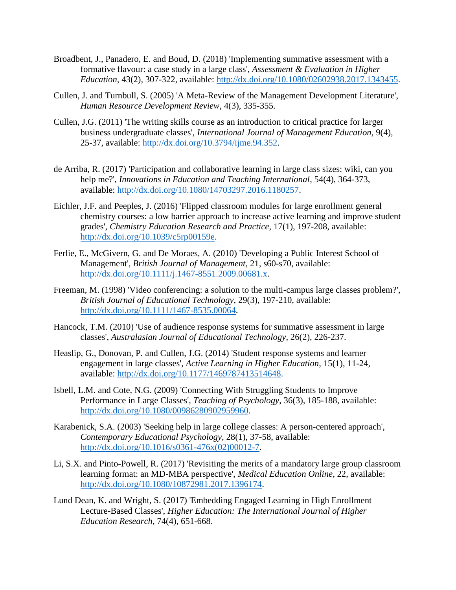- Broadbent, J., Panadero, E. and Boud, D. (2018) 'Implementing summative assessment with a formative flavour: a case study in a large class', *Assessment & Evaluation in Higher Education*, 43(2), 307-322, available: [http://dx.doi.org/10.1080/02602938.2017.1343455.](http://dx.doi.org/10.1080/02602938.2017.1343455)
- Cullen, J. and Turnbull, S. (2005) 'A Meta-Review of the Management Development Literature', *Human Resource Development Review*, 4(3), 335-355.
- Cullen, J.G. (2011) 'The writing skills course as an introduction to critical practice for larger business undergraduate classes', *International Journal of Management Education*, 9(4), 25-37, available: [http://dx.doi.org/10.3794/ijme.94.352.](http://dx.doi.org/10.3794/ijme.94.352)
- de Arriba, R. (2017) 'Participation and collaborative learning in large class sizes: wiki, can you help me?', *Innovations in Education and Teaching International*, 54(4), 364-373, available: [http://dx.doi.org/10.1080/14703297.2016.1180257.](http://dx.doi.org/10.1080/14703297.2016.1180257)
- Eichler, J.F. and Peeples, J. (2016) 'Flipped classroom modules for large enrollment general chemistry courses: a low barrier approach to increase active learning and improve student grades', *Chemistry Education Research and Practice*, 17(1), 197-208, available: [http://dx.doi.org/10.1039/c5rp00159e.](http://dx.doi.org/10.1039/c5rp00159e)
- Ferlie, E., McGivern, G. and De Moraes, A. (2010) 'Developing a Public Interest School of Management', *British Journal of Management*, 21, s60-s70, available: [http://dx.doi.org/10.1111/j.1467-8551.2009.00681.x.](http://dx.doi.org/10.1111/j.1467-8551.2009.00681.x)
- Freeman, M. (1998) 'Video conferencing: a solution to the multi-campus large classes problem?', *British Journal of Educational Technology*, 29(3), 197-210, available: [http://dx.doi.org/10.1111/1467-8535.00064.](http://dx.doi.org/10.1111/1467-8535.00064)
- Hancock, T.M. (2010) 'Use of audience response systems for summative assessment in large classes', *Australasian Journal of Educational Technology*, 26(2), 226-237.
- Heaslip, G., Donovan, P. and Cullen, J.G. (2014) 'Student response systems and learner engagement in large classes', *Active Learning in Higher Education*, 15(1), 11-24, available: [http://dx.doi.org/10.1177/1469787413514648.](http://dx.doi.org/10.1177/1469787413514648)
- Isbell, L.M. and Cote, N.G. (2009) 'Connecting With Struggling Students to Improve Performance in Large Classes', *Teaching of Psychology*, 36(3), 185-188, available: [http://dx.doi.org/10.1080/00986280902959960.](http://dx.doi.org/10.1080/00986280902959960)
- Karabenick, S.A. (2003) 'Seeking help in large college classes: A person-centered approach', *Contemporary Educational Psychology*, 28(1), 37-58, available: [http://dx.doi.org/10.1016/s0361-476x\(02\)00012-7.](http://dx.doi.org/10.1016/s0361-476x(02)00012-7)
- Li, S.X. and Pinto-Powell, R. (2017) 'Revisiting the merits of a mandatory large group classroom learning format: an MD-MBA perspective', *Medical Education Online*, 22, available: [http://dx.doi.org/10.1080/10872981.2017.1396174.](http://dx.doi.org/10.1080/10872981.2017.1396174)
- Lund Dean, K. and Wright, S. (2017) 'Embedding Engaged Learning in High Enrollment Lecture-Based Classes', *Higher Education: The International Journal of Higher Education Research*, 74(4), 651-668.